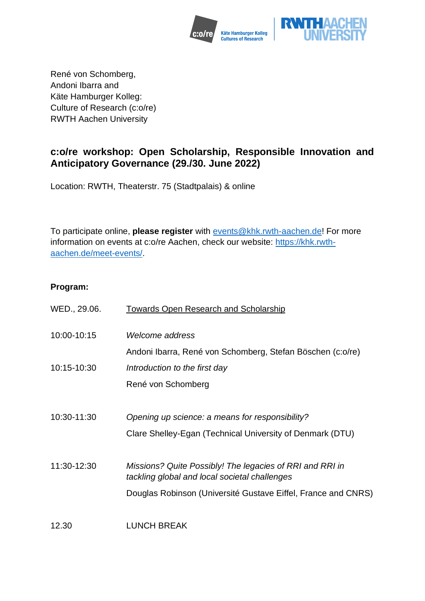



René von Schomberg, Andoni Ibarra and Käte Hamburger Kolleg: Culture of Research (c:o/re) RWTH Aachen University

# **c:o/re workshop: Open Scholarship, Responsible Innovation and Anticipatory Governance (29./30. June 2022)**

Location: RWTH, Theaterstr. 75 (Stadtpalais) & online

To participate online, **please register** with [events@khk.rwth-aachen.de!](mailto:events@khk.rwth-aachen.de) For more information on events at c:o/re Aachen, check our website: [https://khk.rwth](https://khk.rwth-aachen.de/meet-events/)[aachen.de/meet-events/.](https://khk.rwth-aachen.de/meet-events/)

## **Program:**

| WED., 29.06. | <b>Towards Open Research and Scholarship</b>                                                                 |
|--------------|--------------------------------------------------------------------------------------------------------------|
| 10:00-10:15  | Welcome address<br>Andoni Ibarra, René von Schomberg, Stefan Böschen (c:o/re)                                |
| 10:15-10:30  | Introduction to the first day                                                                                |
|              | René von Schomberg                                                                                           |
| 10:30-11:30  | Opening up science: a means for responsibility?<br>Clare Shelley-Egan (Technical University of Denmark (DTU) |
| 11:30-12:30  | Missions? Quite Possibly! The legacies of RRI and RRI in<br>tackling global and local societal challenges    |
|              | Douglas Robinson (Université Gustave Eiffel, France and CNRS)                                                |
| 12.30        | <b>LUNCH BREAK</b>                                                                                           |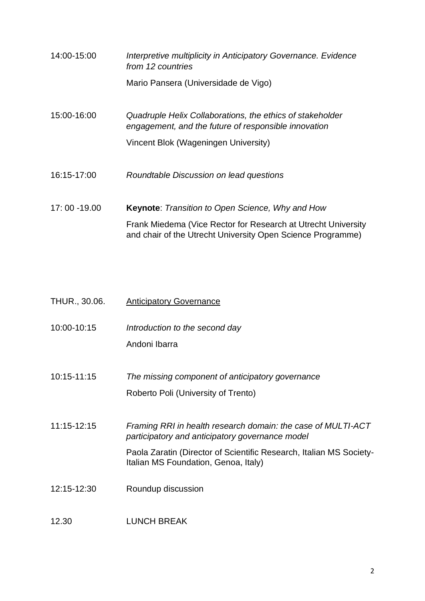| 14:00-15:00   | Interpretive multiplicity in Anticipatory Governance. Evidence<br>from 12 countries                                          |
|---------------|------------------------------------------------------------------------------------------------------------------------------|
|               | Mario Pansera (Universidade de Vigo)                                                                                         |
| 15:00-16:00   | Quadruple Helix Collaborations, the ethics of stakeholder<br>engagement, and the future of responsible innovation            |
|               | Vincent Blok (Wageningen University)                                                                                         |
| 16:15-17:00   | Roundtable Discussion on lead questions                                                                                      |
| 17:00 - 19.00 | Keynote: Transition to Open Science, Why and How                                                                             |
|               | Frank Miedema (Vice Rector for Research at Utrecht University<br>and chair of the Utrecht University Open Science Programme) |

| THUR., 30.06. | <b>Anticipatory Governance</b>                                                                                                                                                                                                 |
|---------------|--------------------------------------------------------------------------------------------------------------------------------------------------------------------------------------------------------------------------------|
| 10:00-10:15   | Introduction to the second day<br>Andoni Ibarra                                                                                                                                                                                |
| 10:15-11:15   | The missing component of anticipatory governance<br>Roberto Poli (University of Trento)                                                                                                                                        |
| 11:15-12:15   | Framing RRI in health research domain: the case of MULTI-ACT<br>participatory and anticipatory governance model<br>Paola Zaratin (Director of Scientific Research, Italian MS Society-<br>Italian MS Foundation, Genoa, Italy) |
| 12:15-12:30   | Roundup discussion                                                                                                                                                                                                             |
| 12.30         | <b>LUNCH BREAK</b>                                                                                                                                                                                                             |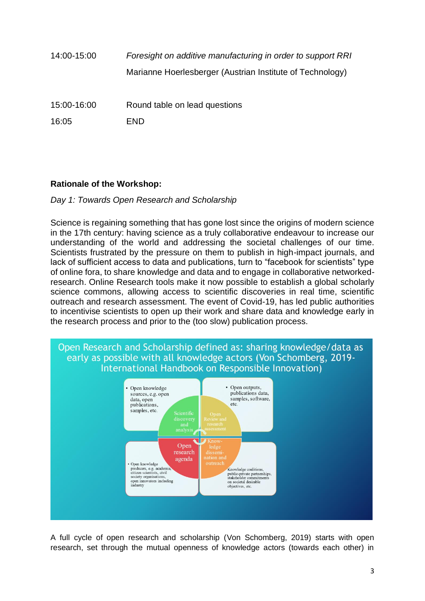| 14:00-15:00 | Foresight on additive manufacturing in order to support RRI |
|-------------|-------------------------------------------------------------|
|             | Marianne Hoerlesberger (Austrian Institute of Technology)   |
| 15:00-16:00 | Round table on lead questions                               |
| 16:05       | <b>END</b>                                                  |

# **Rationale of the Workshop:**

#### *Day 1: Towards Open Research and Scholarship*

Science is regaining something that has gone lost since the origins of modern science in the 17th century: having science as a truly collaborative endeavour to increase our understanding of the world and addressing the societal challenges of our time. Scientists frustrated by the pressure on them to publish in high-impact journals, and lack of sufficient access to data and publications, turn to "facebook for scientists" type of online fora, to share knowledge and data and to engage in collaborative networkedresearch. Online Research tools make it now possible to establish a global scholarly science commons, allowing access to scientific discoveries in real time, scientific outreach and research assessment. The event of Covid-19, has led public authorities to incentivise scientists to open up their work and share data and knowledge early in the research process and prior to the (too slow) publication process.



A full cycle of open research and scholarship (Von Schomberg, 2019) starts with open research, set through the mutual openness of knowledge actors (towards each other) in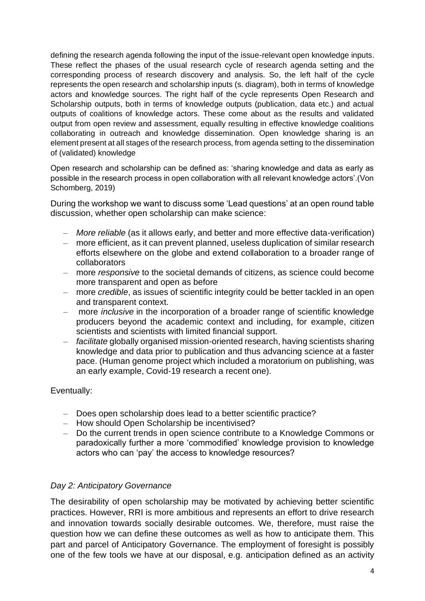defining the research agenda following the input of the issue-relevant open knowledge inputs. These reflect the phases of the usual research cycle of research agenda setting and the corresponding process of research discovery and analysis. So, the left half of the cycle represents the open research and scholarship inputs (s. diagram), both in terms of knowledge actors and knowledge sources. The right half of the cycle represents Open Research and Scholarship outputs, both in terms of knowledge outputs (publication, data etc.) and actual outputs of coalitions of knowledge actors. These come about as the results and validated output from open review and assessment, equally resulting in effective knowledge coalitions collaborating in outreach and knowledge dissemination. Open knowledge sharing is an element present at all stages of the research process, from agenda setting to the dissemination of (validated) knowledge

Open research and scholarship can be defined as: 'sharing knowledge and data as early as possible in the research process in open collaboration with all relevant knowledge actors'.(Von Schomberg, 2019)

During the workshop we want to discuss some 'Lead questions' at an open round table discussion, whether open scholarship can make science:

- *More reliable* (as it allows early, and better and more effective data-verification)
- more efficient, as it can prevent planned, useless duplication of similar research efforts elsewhere on the globe and extend collaboration to a broader range of collaborators
- more *responsive* to the societal demands of citizens, as science could become more transparent and open as before
- more *credible*, as issues of scientific integrity could be better tackled in an open and transparent context.
- more *inclusive* in the incorporation of a broader range of scientific knowledge producers beyond the academic context and including, for example, citizen scientists and scientists with limited financial support.
- *facilitate* globally organised mission-oriented research, having scientists sharing knowledge and data prior to publication and thus advancing science at a faster pace. (Human genome project which included a moratorium on publishing, was an early example, Covid-19 research a recent one).

## Eventually:

- Does open scholarship does lead to a better scientific practice?
- How should Open Scholarship be incentivised?
- Do the current trends in open science contribute to a Knowledge Commons or paradoxically further a more 'commodified' knowledge provision to knowledge actors who can 'pay' the access to knowledge resources?

#### *Day 2: Anticipatory Governance*

The desirability of open scholarship may be motivated by achieving better scientific practices. However, RRI is more ambitious and represents an effort to drive research and innovation towards socially desirable outcomes. We, therefore, must raise the question how we can define these outcomes as well as how to anticipate them. This part and parcel of Anticipatory Governance. The employment of foresight is possibly one of the few tools we have at our disposal, e.g. anticipation defined as an activity